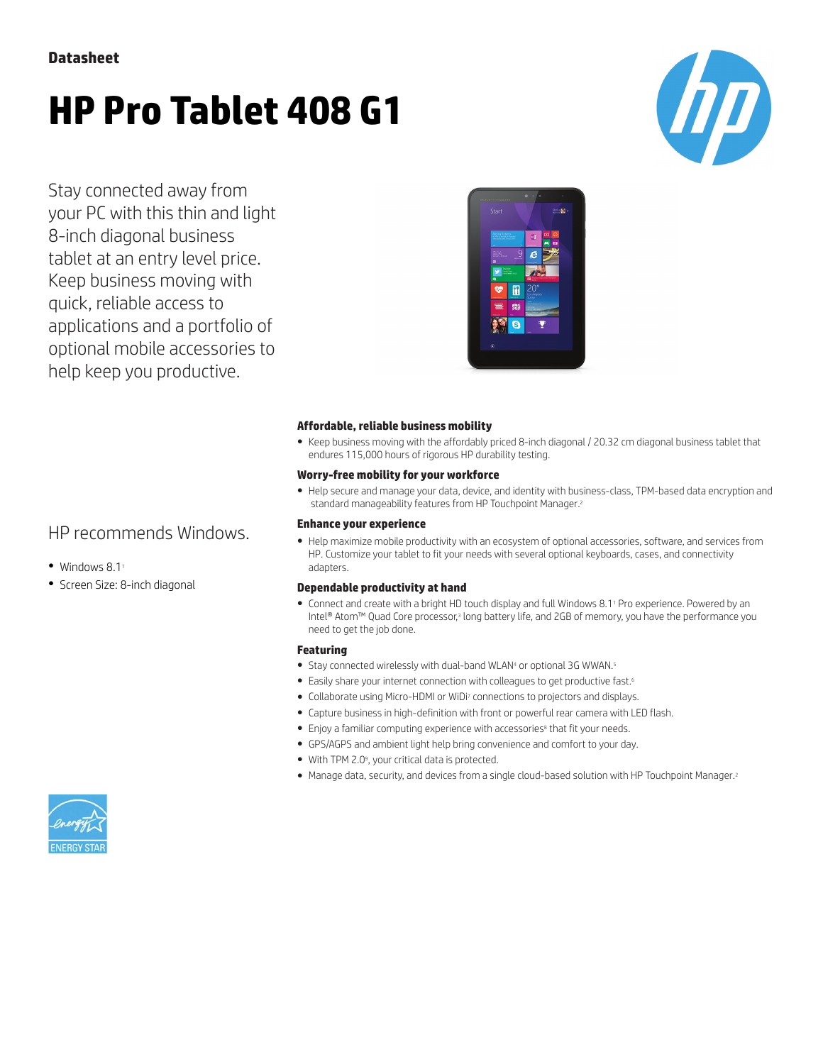# **HP Pro Tablet 408 G1**

Stay connected away from your PC with this thin and light 8-inch diagonal business tablet at an entry level price. Keep business moving with quick, reliable access to applications and a portfolio of optional mobile accessories to help keep you productive.

# HP recommends Windows.

- $\bullet$  Windows 8.1<sup>1</sup>
- Screen Size: 8-inch diagonal



### **Affordable, reliable business mobility**

● Keep business moving with the affordably priced 8-inch diagonal / 20.32 cm diagonal business tablet that endures 115,000 hours of rigorous HP durability testing.

### **Worry-free mobility for your workforce**

● Help secure and manage your data, device, and identity with business-class, TPM-based data encryption and standard manageability features from HP Touchpoint Manager.<sup>2</sup>

### **Enhance your experience**

● Help maximize mobile productivity with an ecosystem of optional accessories, software, and services from HP. Customize your tablet to fit your needs with several optional keyboards, cases, and connectivity adapters.

### **Dependable productivity at hand**

● Connect and create with a bright HD touch display and full Windows 8.1<sup>1</sup> Pro experience. Powered by an Intel® Atom™ Quad Core processor,3 long battery life, and 2GB of memory, you have the performance you need to get the job done.

### **Featuring**

- Stay connected wirelessly with dual-band WLAN<sup>4</sup> or optional 3G WWAN.<sup>5</sup>
- Easily share your internet connection with colleagues to get productive fast.<sup>6</sup>
- Collaborate using Micro-HDMI or WiDi<sup>7</sup> connections to projectors and displays.
- Capture business in high-definition with front or powerful rear camera with LED flash.
- Enjoy a familiar computing experience with accessories<sup>8</sup> that fit your needs.
- GPS/AGPS and ambient light help bring convenience and comfort to your day.
- With TPM 2.0<sup>9</sup> , your critical data is protected.
- Manage data, security, and devices from a single cloud-based solution with HP Touchpoint Manager.<sup>2</sup>

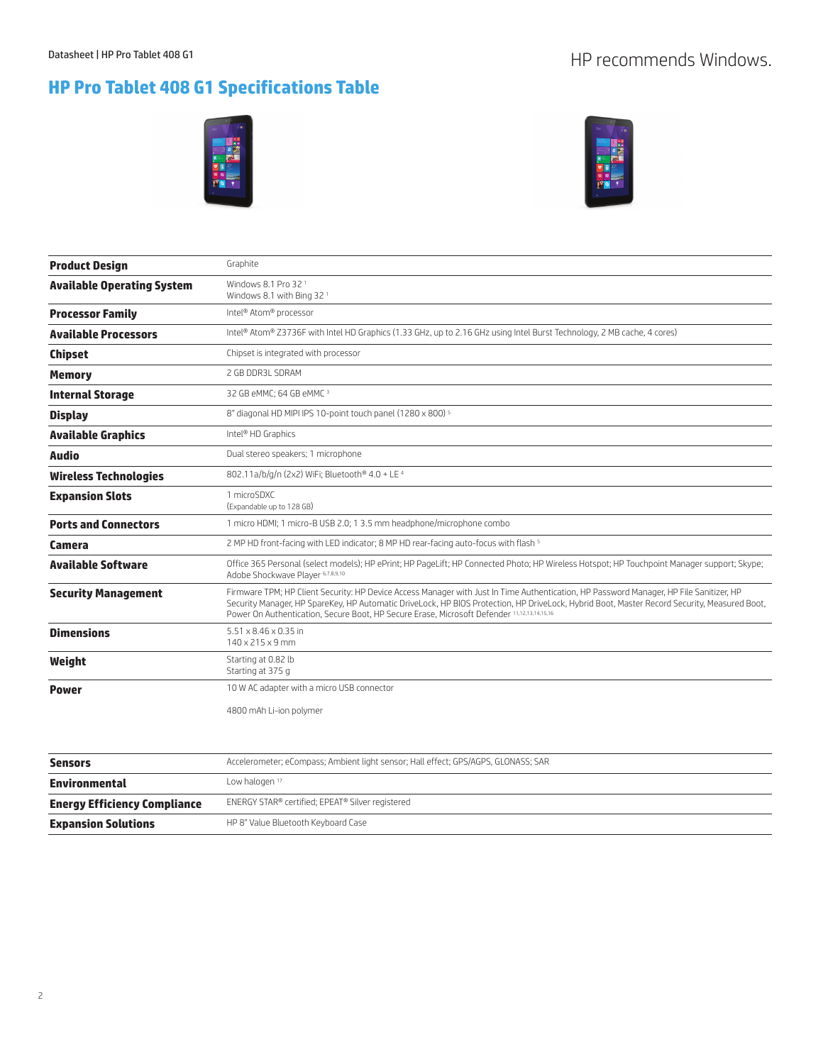# **HP Pro Tablet 408 G1 Specifications Table**





| <b>Product Design</b>             | Graphite                                                                                                                                                                                                                                                                                                                                                                               |  |
|-----------------------------------|----------------------------------------------------------------------------------------------------------------------------------------------------------------------------------------------------------------------------------------------------------------------------------------------------------------------------------------------------------------------------------------|--|
| <b>Available Operating System</b> | Windows 8.1 Pro 32 <sup>1</sup><br>Windows 8.1 with Bing 32 <sup>1</sup>                                                                                                                                                                                                                                                                                                               |  |
| <b>Processor Family</b>           | Intel <sup>®</sup> Atom® processor                                                                                                                                                                                                                                                                                                                                                     |  |
| <b>Available Processors</b>       | Intel® Atom® Z3736F with Intel HD Graphics (1.33 GHz, up to 2.16 GHz using Intel Burst Technology, 2 MB cache, 4 cores)                                                                                                                                                                                                                                                                |  |
| <b>Chipset</b>                    | Chipset is integrated with processor                                                                                                                                                                                                                                                                                                                                                   |  |
| <b>Memory</b>                     | 2 GB DDR3L SDRAM                                                                                                                                                                                                                                                                                                                                                                       |  |
| <b>Internal Storage</b>           | 32 GB eMMC; 64 GB eMMC 3                                                                                                                                                                                                                                                                                                                                                               |  |
| <b>Display</b>                    | 8" diagonal HD MIPI IPS 10-point touch panel (1280 x 800) <sup>5</sup>                                                                                                                                                                                                                                                                                                                 |  |
| <b>Available Graphics</b>         | Intel <sup>®</sup> HD Graphics                                                                                                                                                                                                                                                                                                                                                         |  |
| Audio                             | Dual stereo speakers; 1 microphone                                                                                                                                                                                                                                                                                                                                                     |  |
| <b>Wireless Technologies</b>      | 802.11a/b/g/n (2x2) WiFi; Bluetooth® 4.0 + LE 4                                                                                                                                                                                                                                                                                                                                        |  |
| <b>Expansion Slots</b>            | 1 microSDXC<br>(Expandable up to 128 GB)                                                                                                                                                                                                                                                                                                                                               |  |
| <b>Ports and Connectors</b>       | 1 micro HDMI; 1 micro-B USB 2.0; 1 3.5 mm headphone/microphone combo                                                                                                                                                                                                                                                                                                                   |  |
| Camera                            | 2 MP HD front-facing with LED indicator; 8 MP HD rear-facing auto-focus with flash 5                                                                                                                                                                                                                                                                                                   |  |
| <b>Available Software</b>         | Office 365 Personal (select models); HP ePrint; HP PageLift; HP Connected Photo; HP Wireless Hotspot; HP Touchpoint Manager support; Skype;<br>Adobe Shockwave Player 6,7,8,9,10                                                                                                                                                                                                       |  |
| <b>Security Management</b>        | Firmware TPM; HP Client Security: HP Device Access Manager with Just In Time Authentication, HP Password Manager, HP File Sanitizer, HP<br>Security Manager, HP SpareKey, HP Automatic DriveLock, HP BIOS Protection, HP DriveLock, Hybrid Boot, Master Record Security, Measured Boot,<br>Power On Authentication, Secure Boot, HP Secure Erase, Microsoft Defender 11,12,13,14,15,16 |  |
| <b>Dimensions</b>                 | $5.51 \times 8.46 \times 0.35$ in<br>140 x 215 x 9 mm                                                                                                                                                                                                                                                                                                                                  |  |
| Weight                            | Starting at 0.82 lb<br>Starting at 375 g                                                                                                                                                                                                                                                                                                                                               |  |
| <b>Power</b>                      | 10 W AC adapter with a micro USB connector                                                                                                                                                                                                                                                                                                                                             |  |
|                                   | 4800 mAh Li-ion polymer                                                                                                                                                                                                                                                                                                                                                                |  |

| Sensors                             | Accelerometer; eCompass; Ambient light sensor; Hall effect; GPS/AGPS, GLONASS; SAR |  |
|-------------------------------------|------------------------------------------------------------------------------------|--|
| Environmental                       | Low halogen $17$                                                                   |  |
| <b>Energy Efficiency Compliance</b> | ENERGY STAR® certified; EPEAT® Silver registered                                   |  |
| <b>Expansion Solutions</b>          | HP 8" Value Bluetooth Keyboard Case                                                |  |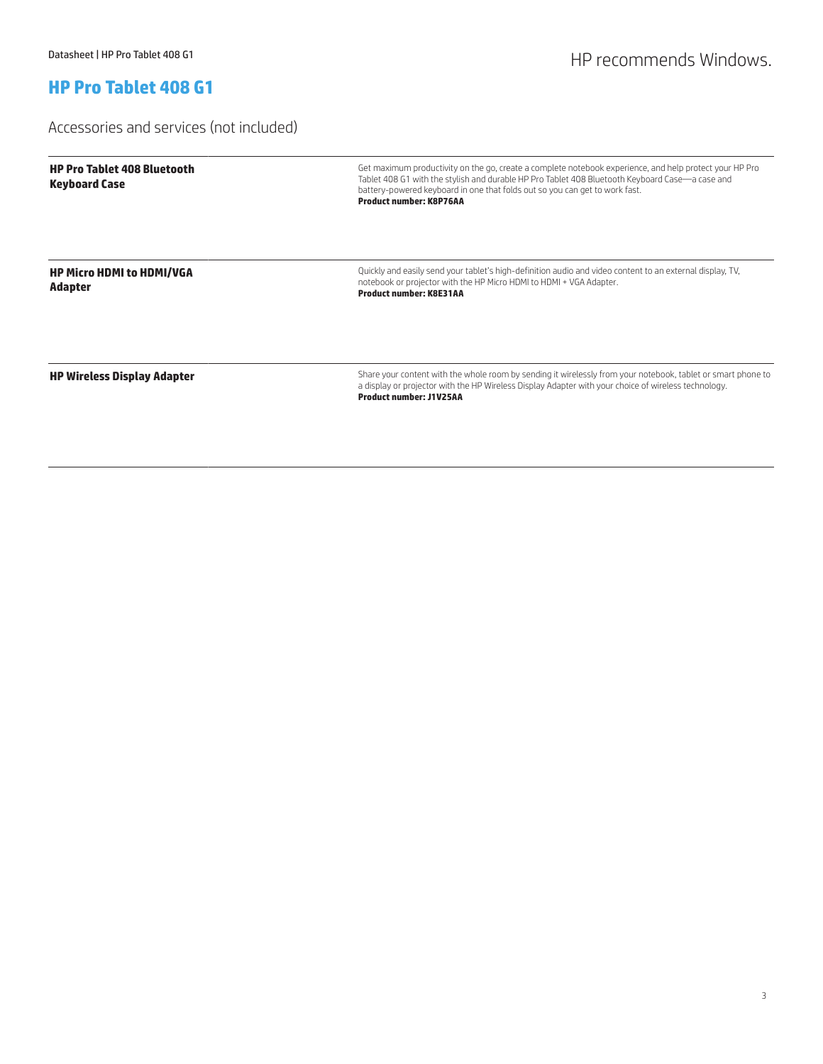## **HP Pro Tablet 408 G1**

### Accessories and services (not included)

| <b>HP Pro Tablet 408 Bluetooth</b><br><b>Keyboard Case</b> | Get maximum productivity on the go, create a complete notebook experience, and help protect your HP Pro<br>Tablet 408 G1 with the stylish and durable HP Pro Tablet 408 Bluetooth Keyboard Case—a case and<br>battery-powered keyboard in one that folds out so you can get to work fast.<br><b>Product number: K8P76AA</b> |
|------------------------------------------------------------|-----------------------------------------------------------------------------------------------------------------------------------------------------------------------------------------------------------------------------------------------------------------------------------------------------------------------------|
| <b>HP Micro HDMI to HDMI/VGA</b><br><b>Adapter</b>         | Quickly and easily send your tablet's high-definition audio and video content to an external display, TV,<br>notebook or projector with the HP Micro HDMI to HDMI + VGA Adapter.<br><b>Product number: K8E31AA</b>                                                                                                          |
| <b>HP Wireless Display Adapter</b>                         | Share your content with the whole room by sending it wirelessly from your notebook, tablet or smart phone to<br>a display or projector with the HP Wireless Display Adapter with your choice of wireless technology.<br><b>Product number: J1V25AA</b>                                                                      |